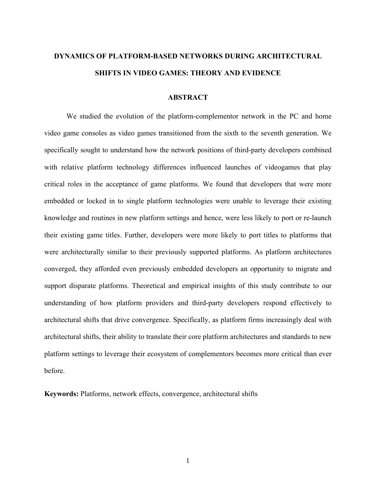# **DYNAMICS OF PLATFORM-BASED NETWORKS DURING ARCHITECTURAL SHIFTS IN VIDEO GAMES: THEORY AND EVIDENCE**

#### **ABSTRACT**

We studied the evolution of the platform-complementor network in the PC and home video game consoles as video games transitioned from the sixth to the seventh generation. We specifically sought to understand how the network positions of third-party developers combined with relative platform technology differences influenced launches of videogames that play critical roles in the acceptance of game platforms. We found that developers that were more embedded or locked in to single platform technologies were unable to leverage their existing knowledge and routines in new platform settings and hence, were less likely to port or re-launch their existing game titles. Further, developers were more likely to port titles to platforms that were architecturally similar to their previously supported platforms. As platform architectures converged, they afforded even previously embedded developers an opportunity to migrate and support disparate platforms. Theoretical and empirical insights of this study contribute to our understanding of how platform providers and third-party developers respond effectively to architectural shifts that drive convergence. Specifically, as platform firms increasingly deal with architectural shifts, their ability to translate their core platform architectures and standards to new platform settings to leverage their ecosystem of complementors becomes more critical than ever before.

**Keywords:** Platforms, network effects, convergence, architectural shifts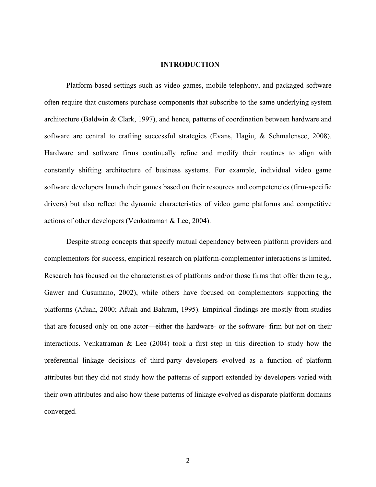# **INTRODUCTION**

Platform-based settings such as video games, mobile telephony, and packaged software often require that customers purchase components that subscribe to the same underlying system architecture (Baldwin & Clark, 1997), and hence, patterns of coordination between hardware and software are central to crafting successful strategies (Evans, Hagiu, & Schmalensee, 2008). Hardware and software firms continually refine and modify their routines to align with constantly shifting architecture of business systems. For example, individual video game software developers launch their games based on their resources and competencies (firm-specific drivers) but also reflect the dynamic characteristics of video game platforms and competitive actions of other developers (Venkatraman & Lee, 2004).

Despite strong concepts that specify mutual dependency between platform providers and complementors for success, empirical research on platform-complementor interactions is limited. Research has focused on the characteristics of platforms and/or those firms that offer them (e.g., Gawer and Cusumano, 2002), while others have focused on complementors supporting the platforms (Afuah, 2000; Afuah and Bahram, 1995). Empirical findings are mostly from studies that are focused only on one actor—either the hardware- or the software- firm but not on their interactions. Venkatraman  $\&$  Lee (2004) took a first step in this direction to study how the preferential linkage decisions of third-party developers evolved as a function of platform attributes but they did not study how the patterns of support extended by developers varied with their own attributes and also how these patterns of linkage evolved as disparate platform domains converged.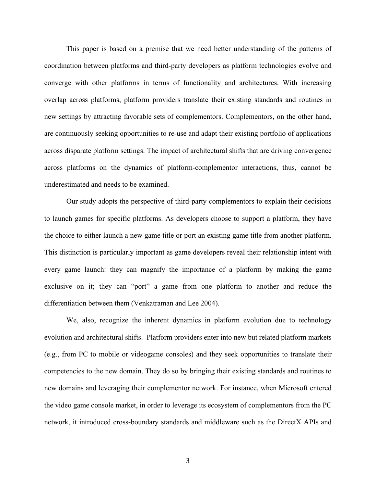This paper is based on a premise that we need better understanding of the patterns of coordination between platforms and third-party developers as platform technologies evolve and converge with other platforms in terms of functionality and architectures. With increasing overlap across platforms, platform providers translate their existing standards and routines in new settings by attracting favorable sets of complementors. Complementors, on the other hand, are continuously seeking opportunities to re-use and adapt their existing portfolio of applications across disparate platform settings. The impact of architectural shifts that are driving convergence across platforms on the dynamics of platform-complementor interactions, thus, cannot be underestimated and needs to be examined.

Our study adopts the perspective of third-party complementors to explain their decisions to launch games for specific platforms. As developers choose to support a platform, they have the choice to either launch a new game title or port an existing game title from another platform. This distinction is particularly important as game developers reveal their relationship intent with every game launch: they can magnify the importance of a platform by making the game exclusive on it; they can "port" a game from one platform to another and reduce the differentiation between them (Venkatraman and Lee 2004).

We, also, recognize the inherent dynamics in platform evolution due to technology evolution and architectural shifts. Platform providers enter into new but related platform markets (e.g., from PC to mobile or videogame consoles) and they seek opportunities to translate their competencies to the new domain. They do so by bringing their existing standards and routines to new domains and leveraging their complementor network. For instance, when Microsoft entered the video game console market, in order to leverage its ecosystem of complementors from the PC network, it introduced cross-boundary standards and middleware such as the DirectX APIs and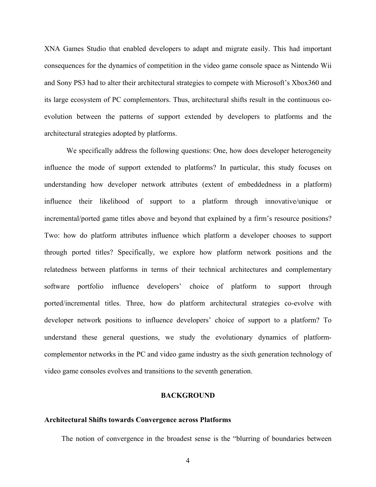XNA Games Studio that enabled developers to adapt and migrate easily. This had important consequences for the dynamics of competition in the video game console space as Nintendo Wii and Sony PS3 had to alter their architectural strategies to compete with Microsoft's Xbox360 and its large ecosystem of PC complementors. Thus, architectural shifts result in the continuous coevolution between the patterns of support extended by developers to platforms and the architectural strategies adopted by platforms.

We specifically address the following questions: One, how does developer heterogeneity influence the mode of support extended to platforms? In particular, this study focuses on understanding how developer network attributes (extent of embeddedness in a platform) influence their likelihood of support to a platform through innovative/unique or incremental/ported game titles above and beyond that explained by a firm's resource positions? Two: how do platform attributes influence which platform a developer chooses to support through ported titles? Specifically, we explore how platform network positions and the relatedness between platforms in terms of their technical architectures and complementary software portfolio influence developers' choice of platform to support through ported/incremental titles. Three, how do platform architectural strategies co-evolve with developer network positions to influence developers' choice of support to a platform? To understand these general questions, we study the evolutionary dynamics of platformcomplementor networks in the PC and video game industry as the sixth generation technology of video game consoles evolves and transitions to the seventh generation.

# **BACKGROUND**

#### **Architectural Shifts towards Convergence across Platforms**

The notion of convergence in the broadest sense is the "blurring of boundaries between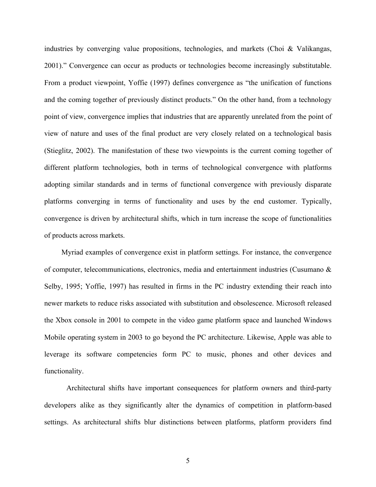industries by converging value propositions, technologies, and markets (Choi & Valikangas, 2001)." Convergence can occur as products or technologies become increasingly substitutable. From a product viewpoint, Yoffie (1997) defines convergence as "the unification of functions and the coming together of previously distinct products." On the other hand, from a technology point of view, convergence implies that industries that are apparently unrelated from the point of view of nature and uses of the final product are very closely related on a technological basis (Stieglitz, 2002). The manifestation of these two viewpoints is the current coming together of different platform technologies, both in terms of technological convergence with platforms adopting similar standards and in terms of functional convergence with previously disparate platforms converging in terms of functionality and uses by the end customer. Typically, convergence is driven by architectural shifts, which in turn increase the scope of functionalities of products across markets.

Myriad examples of convergence exist in platform settings. For instance, the convergence of computer, telecommunications, electronics, media and entertainment industries (Cusumano & Selby, 1995; Yoffie, 1997) has resulted in firms in the PC industry extending their reach into newer markets to reduce risks associated with substitution and obsolescence. Microsoft released the Xbox console in 2001 to compete in the video game platform space and launched Windows Mobile operating system in 2003 to go beyond the PC architecture. Likewise, Apple was able to leverage its software competencies form PC to music, phones and other devices and functionality.

Architectural shifts have important consequences for platform owners and third-party developers alike as they significantly alter the dynamics of competition in platform-based settings. As architectural shifts blur distinctions between platforms, platform providers find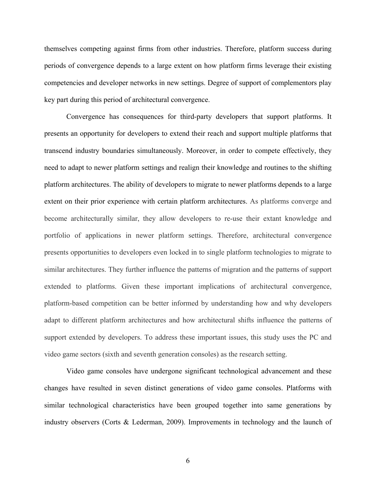themselves competing against firms from other industries. Therefore, platform success during periods of convergence depends to a large extent on how platform firms leverage their existing competencies and developer networks in new settings. Degree of support of complementors play key part during this period of architectural convergence.

Convergence has consequences for third-party developers that support platforms. It presents an opportunity for developers to extend their reach and support multiple platforms that transcend industry boundaries simultaneously. Moreover, in order to compete effectively, they need to adapt to newer platform settings and realign their knowledge and routines to the shifting platform architectures. The ability of developers to migrate to newer platforms depends to a large extent on their prior experience with certain platform architectures. As platforms converge and become architecturally similar, they allow developers to re-use their extant knowledge and portfolio of applications in newer platform settings. Therefore, architectural convergence presents opportunities to developers even locked in to single platform technologies to migrate to similar architectures. They further influence the patterns of migration and the patterns of support extended to platforms. Given these important implications of architectural convergence, platform-based competition can be better informed by understanding how and why developers adapt to different platform architectures and how architectural shifts influence the patterns of support extended by developers. To address these important issues, this study uses the PC and video game sectors (sixth and seventh generation consoles) as the research setting.

Video game consoles have undergone significant technological advancement and these changes have resulted in seven distinct generations of video game consoles. Platforms with similar technological characteristics have been grouped together into same generations by industry observers (Corts & Lederman, 2009). Improvements in technology and the launch of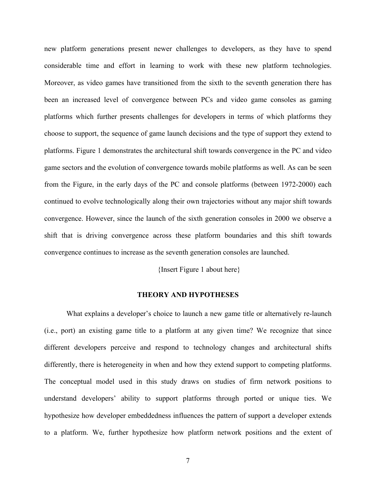new platform generations present newer challenges to developers, as they have to spend considerable time and effort in learning to work with these new platform technologies. Moreover, as video games have transitioned from the sixth to the seventh generation there has been an increased level of convergence between PCs and video game consoles as gaming platforms which further presents challenges for developers in terms of which platforms they choose to support, the sequence of game launch decisions and the type of support they extend to platforms. Figure 1 demonstrates the architectural shift towards convergence in the PC and video game sectors and the evolution of convergence towards mobile platforms as well. As can be seen from the Figure, in the early days of the PC and console platforms (between 1972-2000) each continued to evolve technologically along their own trajectories without any major shift towards convergence. However, since the launch of the sixth generation consoles in 2000 we observe a shift that is driving convergence across these platform boundaries and this shift towards convergence continues to increase as the seventh generation consoles are launched.

{Insert Figure 1 about here}

# **THEORY AND HYPOTHESES**

What explains a developer's choice to launch a new game title or alternatively re-launch (i.e., port) an existing game title to a platform at any given time? We recognize that since different developers perceive and respond to technology changes and architectural shifts differently, there is heterogeneity in when and how they extend support to competing platforms. The conceptual model used in this study draws on studies of firm network positions to understand developers' ability to support platforms through ported or unique ties. We hypothesize how developer embeddedness influences the pattern of support a developer extends to a platform. We, further hypothesize how platform network positions and the extent of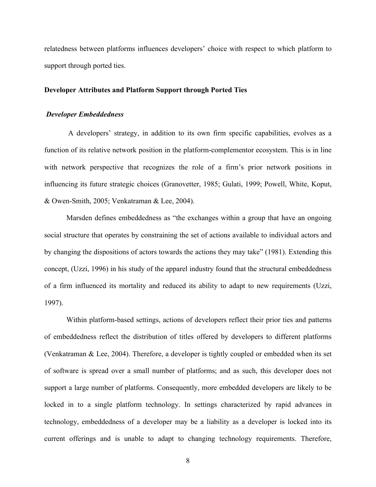relatedness between platforms influences developers' choice with respect to which platform to support through ported ties.

# **Developer Attributes and Platform Support through Ported Ties**

# *Developer Embeddedness*

 A developers' strategy, in addition to its own firm specific capabilities, evolves as a function of its relative network position in the platform-complementor ecosystem. This is in line with network perspective that recognizes the role of a firm's prior network positions in influencing its future strategic choices (Granovetter, 1985; Gulati, 1999; Powell, White, Koput, & Owen-Smith, 2005; Venkatraman & Lee, 2004).

Marsden defines embeddedness as "the exchanges within a group that have an ongoing social structure that operates by constraining the set of actions available to individual actors and by changing the dispositions of actors towards the actions they may take" (1981). Extending this concept, (Uzzi, 1996) in his study of the apparel industry found that the structural embeddedness of a firm influenced its mortality and reduced its ability to adapt to new requirements (Uzzi, 1997).

Within platform-based settings, actions of developers reflect their prior ties and patterns of embeddedness reflect the distribution of titles offered by developers to different platforms (Venkatraman & Lee, 2004). Therefore, a developer is tightly coupled or embedded when its set of software is spread over a small number of platforms; and as such, this developer does not support a large number of platforms. Consequently, more embedded developers are likely to be locked in to a single platform technology. In settings characterized by rapid advances in technology, embeddedness of a developer may be a liability as a developer is locked into its current offerings and is unable to adapt to changing technology requirements. Therefore,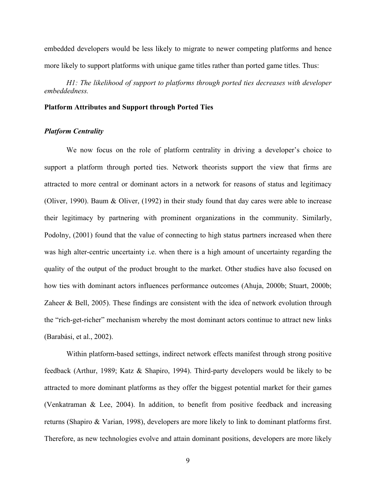embedded developers would be less likely to migrate to newer competing platforms and hence more likely to support platforms with unique game titles rather than ported game titles. Thus:

*H1: The likelihood of support to platforms through ported ties decreases with developer embeddedness.*

# **Platform Attributes and Support through Ported Ties**

# *Platform Centrality*

We now focus on the role of platform centrality in driving a developer's choice to support a platform through ported ties. Network theorists support the view that firms are attracted to more central or dominant actors in a network for reasons of status and legitimacy (Oliver, 1990). Baum & Oliver, (1992) in their study found that day cares were able to increase their legitimacy by partnering with prominent organizations in the community. Similarly, Podolny, (2001) found that the value of connecting to high status partners increased when there was high alter-centric uncertainty i.e. when there is a high amount of uncertainty regarding the quality of the output of the product brought to the market. Other studies have also focused on how ties with dominant actors influences performance outcomes (Ahuja, 2000b; Stuart, 2000b; Zaheer & Bell, 2005). These findings are consistent with the idea of network evolution through the "rich-get-richer" mechanism whereby the most dominant actors continue to attract new links (Barabási, et al., 2002).

Within platform-based settings, indirect network effects manifest through strong positive feedback (Arthur, 1989; Katz & Shapiro, 1994). Third-party developers would be likely to be attracted to more dominant platforms as they offer the biggest potential market for their games (Venkatraman & Lee, 2004). In addition, to benefit from positive feedback and increasing returns (Shapiro & Varian, 1998), developers are more likely to link to dominant platforms first. Therefore, as new technologies evolve and attain dominant positions, developers are more likely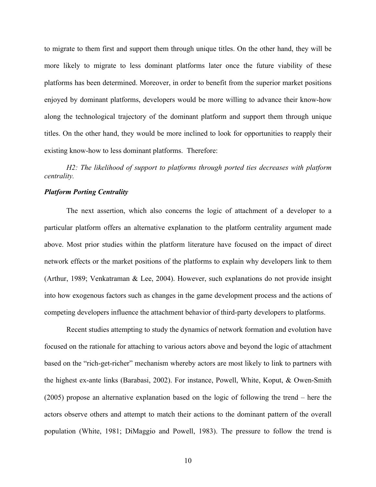to migrate to them first and support them through unique titles. On the other hand, they will be more likely to migrate to less dominant platforms later once the future viability of these platforms has been determined. Moreover, in order to benefit from the superior market positions enjoyed by dominant platforms, developers would be more willing to advance their know-how along the technological trajectory of the dominant platform and support them through unique titles. On the other hand, they would be more inclined to look for opportunities to reapply their existing know-how to less dominant platforms. Therefore:

*H2: The likelihood of support to platforms through ported ties decreases with platform centrality.*

# *Platform Porting Centrality*

The next assertion, which also concerns the logic of attachment of a developer to a particular platform offers an alternative explanation to the platform centrality argument made above. Most prior studies within the platform literature have focused on the impact of direct network effects or the market positions of the platforms to explain why developers link to them (Arthur, 1989; Venkatraman & Lee, 2004). However, such explanations do not provide insight into how exogenous factors such as changes in the game development process and the actions of competing developers influence the attachment behavior of third-party developers to platforms.

Recent studies attempting to study the dynamics of network formation and evolution have focused on the rationale for attaching to various actors above and beyond the logic of attachment based on the "rich-get-richer" mechanism whereby actors are most likely to link to partners with the highest ex-ante links (Barabasi, 2002). For instance, Powell, White, Koput, & Owen-Smith (2005) propose an alternative explanation based on the logic of following the trend – here the actors observe others and attempt to match their actions to the dominant pattern of the overall population (White, 1981; DiMaggio and Powell, 1983). The pressure to follow the trend is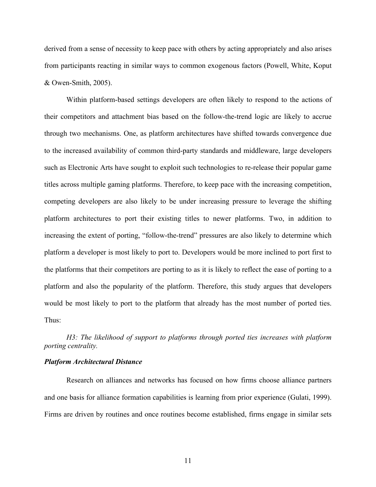derived from a sense of necessity to keep pace with others by acting appropriately and also arises from participants reacting in similar ways to common exogenous factors (Powell, White, Koput & Owen-Smith, 2005).

Within platform-based settings developers are often likely to respond to the actions of their competitors and attachment bias based on the follow-the-trend logic are likely to accrue through two mechanisms. One, as platform architectures have shifted towards convergence due to the increased availability of common third-party standards and middleware, large developers such as Electronic Arts have sought to exploit such technologies to re-release their popular game titles across multiple gaming platforms. Therefore, to keep pace with the increasing competition, competing developers are also likely to be under increasing pressure to leverage the shifting platform architectures to port their existing titles to newer platforms. Two, in addition to increasing the extent of porting, "follow-the-trend" pressures are also likely to determine which platform a developer is most likely to port to. Developers would be more inclined to port first to the platforms that their competitors are porting to as it is likely to reflect the ease of porting to a platform and also the popularity of the platform. Therefore, this study argues that developers would be most likely to port to the platform that already has the most number of ported ties. Thus:

*H3: The likelihood of support to platforms through ported ties increases with platform porting centrality.*

# *Platform Architectural Distance*

Research on alliances and networks has focused on how firms choose alliance partners and one basis for alliance formation capabilities is learning from prior experience (Gulati, 1999). Firms are driven by routines and once routines become established, firms engage in similar sets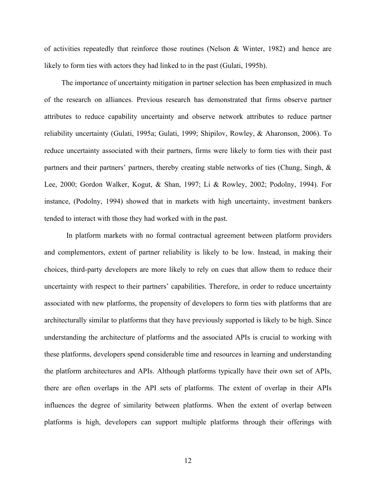of activities repeatedly that reinforce those routines (Nelson & Winter, 1982) and hence are likely to form ties with actors they had linked to in the past (Gulati, 1995b).

The importance of uncertainty mitigation in partner selection has been emphasized in much of the research on alliances. Previous research has demonstrated that firms observe partner attributes to reduce capability uncertainty and observe network attributes to reduce partner reliability uncertainty (Gulati, 1995a; Gulati, 1999; Shipilov, Rowley, & Aharonson, 2006). To reduce uncertainty associated with their partners, firms were likely to form ties with their past partners and their partners' partners, thereby creating stable networks of ties (Chung, Singh, & Lee, 2000; Gordon Walker, Kogut, & Shan, 1997; Li & Rowley, 2002; Podolny, 1994). For instance, (Podolny, 1994) showed that in markets with high uncertainty, investment bankers tended to interact with those they had worked with in the past.

In platform markets with no formal contractual agreement between platform providers and complementors, extent of partner reliability is likely to be low. Instead, in making their choices, third-party developers are more likely to rely on cues that allow them to reduce their uncertainty with respect to their partners' capabilities. Therefore, in order to reduce uncertainty associated with new platforms, the propensity of developers to form ties with platforms that are architecturally similar to platforms that they have previously supported is likely to be high. Since understanding the architecture of platforms and the associated APIs is crucial to working with these platforms, developers spend considerable time and resources in learning and understanding the platform architectures and APIs. Although platforms typically have their own set of APIs, there are often overlaps in the API sets of platforms. The extent of overlap in their APIs influences the degree of similarity between platforms. When the extent of overlap between platforms is high, developers can support multiple platforms through their offerings with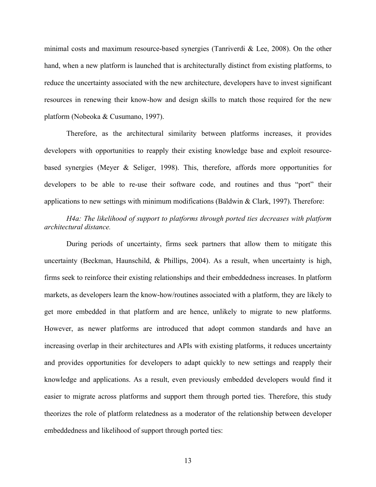minimal costs and maximum resource-based synergies (Tanriverdi & Lee, 2008). On the other hand, when a new platform is launched that is architecturally distinct from existing platforms, to reduce the uncertainty associated with the new architecture, developers have to invest significant resources in renewing their know-how and design skills to match those required for the new platform (Nobeoka & Cusumano, 1997).

Therefore, as the architectural similarity between platforms increases, it provides developers with opportunities to reapply their existing knowledge base and exploit resourcebased synergies (Meyer & Seliger, 1998). This, therefore, affords more opportunities for developers to be able to re-use their software code, and routines and thus "port" their applications to new settings with minimum modifications (Baldwin  $\&$  Clark, 1997). Therefore:

# *H4a: The likelihood of support to platforms through ported ties decreases with platform architectural distance.*

During periods of uncertainty, firms seek partners that allow them to mitigate this uncertainty (Beckman, Haunschild, & Phillips, 2004). As a result, when uncertainty is high, firms seek to reinforce their existing relationships and their embeddedness increases. In platform markets, as developers learn the know-how/routines associated with a platform, they are likely to get more embedded in that platform and are hence, unlikely to migrate to new platforms. However, as newer platforms are introduced that adopt common standards and have an increasing overlap in their architectures and APIs with existing platforms, it reduces uncertainty and provides opportunities for developers to adapt quickly to new settings and reapply their knowledge and applications. As a result, even previously embedded developers would find it easier to migrate across platforms and support them through ported ties. Therefore, this study theorizes the role of platform relatedness as a moderator of the relationship between developer embeddedness and likelihood of support through ported ties: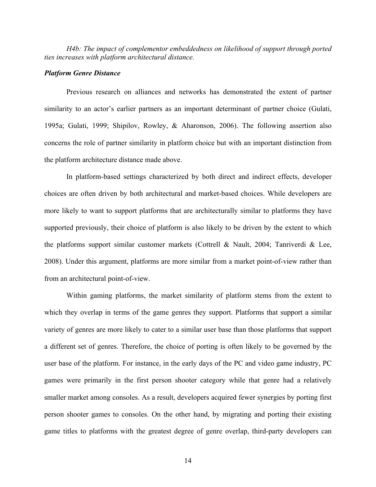*H4b: The impact of complementor embeddedness on likelihood of support through ported ties increases with platform architectural distance.*

#### *Platform Genre Distance*

Previous research on alliances and networks has demonstrated the extent of partner similarity to an actor's earlier partners as an important determinant of partner choice (Gulati, 1995a; Gulati, 1999; Shipilov, Rowley, & Aharonson, 2006). The following assertion also concerns the role of partner similarity in platform choice but with an important distinction from the platform architecture distance made above.

In platform-based settings characterized by both direct and indirect effects, developer choices are often driven by both architectural and market-based choices. While developers are more likely to want to support platforms that are architecturally similar to platforms they have supported previously, their choice of platform is also likely to be driven by the extent to which the platforms support similar customer markets (Cottrell & Nault, 2004; Tanriverdi & Lee, 2008). Under this argument, platforms are more similar from a market point-of-view rather than from an architectural point-of-view.

Within gaming platforms, the market similarity of platform stems from the extent to which they overlap in terms of the game genres they support. Platforms that support a similar variety of genres are more likely to cater to a similar user base than those platforms that support a different set of genres. Therefore, the choice of porting is often likely to be governed by the user base of the platform. For instance, in the early days of the PC and video game industry, PC games were primarily in the first person shooter category while that genre had a relatively smaller market among consoles. As a result, developers acquired fewer synergies by porting first person shooter games to consoles. On the other hand, by migrating and porting their existing game titles to platforms with the greatest degree of genre overlap, third-party developers can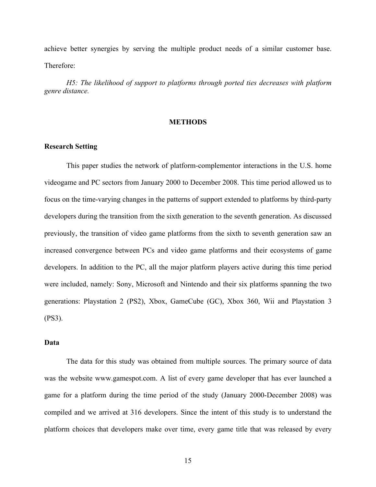achieve better synergies by serving the multiple product needs of a similar customer base. Therefore:

*H5: The likelihood of support to platforms through ported ties decreases with platform genre distance.*

# **METHODS**

# **Research Setting**

This paper studies the network of platform-complementor interactions in the U.S. home videogame and PC sectors from January 2000 to December 2008. This time period allowed us to focus on the time-varying changes in the patterns of support extended to platforms by third-party developers during the transition from the sixth generation to the seventh generation. As discussed previously, the transition of video game platforms from the sixth to seventh generation saw an increased convergence between PCs and video game platforms and their ecosystems of game developers. In addition to the PC, all the major platform players active during this time period were included, namely: Sony, Microsoft and Nintendo and their six platforms spanning the two generations: Playstation 2 (PS2), Xbox, GameCube (GC), Xbox 360, Wii and Playstation 3 (PS3).

# **Data**

The data for this study was obtained from multiple sources. The primary source of data was the website www.gamespot.com. A list of every game developer that has ever launched a game for a platform during the time period of the study (January 2000-December 2008) was compiled and we arrived at 316 developers. Since the intent of this study is to understand the platform choices that developers make over time, every game title that was released by every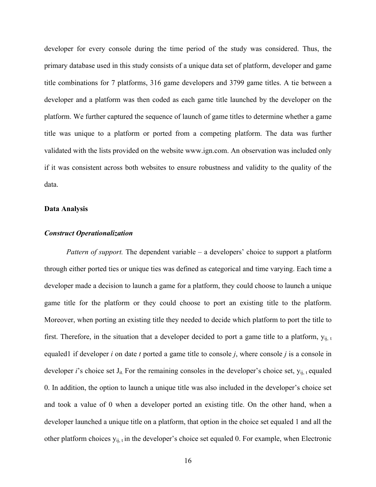developer for every console during the time period of the study was considered. Thus, the primary database used in this study consists of a unique data set of platform, developer and game title combinations for 7 platforms, 316 game developers and 3799 game titles. A tie between a developer and a platform was then coded as each game title launched by the developer on the platform. We further captured the sequence of launch of game titles to determine whether a game title was unique to a platform or ported from a competing platform. The data was further validated with the lists provided on the website www.ign.com. An observation was included only if it was consistent across both websites to ensure robustness and validity to the quality of the data.

#### **Data Analysis**

## *Construct Operationalization*

*Pattern of support.* The dependent variable – a developers' choice to support a platform through either ported ties or unique ties was defined as categorical and time varying. Each time a developer made a decision to launch a game for a platform, they could choose to launch a unique game title for the platform or they could choose to port an existing title to the platform. Moreover, when porting an existing title they needed to decide which platform to port the title to first. Therefore, in the situation that a developer decided to port a game title to a platform,  $y_{ij, t}$ equaled1 if developer *i* on date *t* ported a game title to console *j*, where console *j* is a console in developer *i*'s choice set  $J_{it}$ . For the remaining consoles in the developer's choice set,  $y_{ij}$ , t equaled 0. In addition, the option to launch a unique title was also included in the developer's choice set and took a value of 0 when a developer ported an existing title. On the other hand, when a developer launched a unique title on a platform, that option in the choice set equaled 1 and all the other platform choices  $y_{ij, t}$  in the developer's choice set equaled 0. For example, when Electronic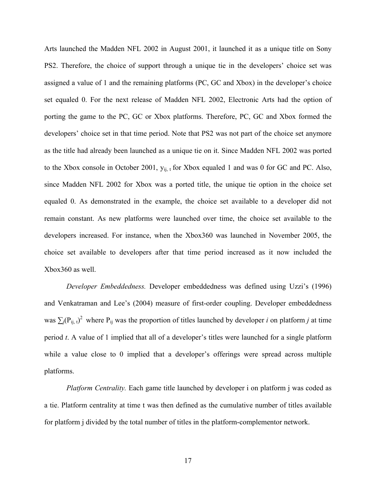Arts launched the Madden NFL 2002 in August 2001, it launched it as a unique title on Sony PS2. Therefore, the choice of support through a unique tie in the developers' choice set was assigned a value of 1 and the remaining platforms (PC, GC and Xbox) in the developer's choice set equaled 0. For the next release of Madden NFL 2002, Electronic Arts had the option of porting the game to the PC, GC or Xbox platforms. Therefore, PC, GC and Xbox formed the developers' choice set in that time period. Note that PS2 was not part of the choice set anymore as the title had already been launched as a unique tie on it. Since Madden NFL 2002 was ported to the Xbox console in October 2001,  $y_{ij,t}$  for Xbox equaled 1 and was 0 for GC and PC. Also, since Madden NFL 2002 for Xbox was a ported title, the unique tie option in the choice set equaled 0. As demonstrated in the example, the choice set available to a developer did not remain constant. As new platforms were launched over time, the choice set available to the developers increased. For instance, when the Xbox360 was launched in November 2005, the choice set available to developers after that time period increased as it now included the Xbox360 as well.

*Developer Embeddedness.* Developer embeddedness was defined using Uzzi's (1996) and Venkatraman and Lee's (2004) measure of first-order coupling. Developer embeddedness was  $\sum_j (P_{ij, t})^2$  where  $P_{ij}$  was the proportion of titles launched by developer *i* on platform *j* at time period *t*. A value of 1 implied that all of a developer's titles were launched for a single platform while a value close to 0 implied that a developer's offerings were spread across multiple platforms.

*Platform Centrality.* Each game title launched by developer i on platform j was coded as a tie. Platform centrality at time t was then defined as the cumulative number of titles available for platform j divided by the total number of titles in the platform-complementor network.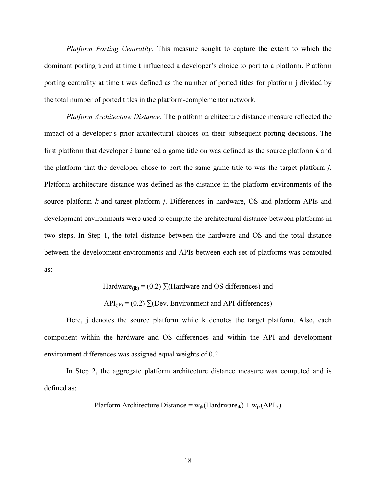*Platform Porting Centrality.* This measure sought to capture the extent to which the dominant porting trend at time t influenced a developer's choice to port to a platform. Platform porting centrality at time t was defined as the number of ported titles for platform j divided by the total number of ported titles in the platform-complementor network.

*Platform Architecture Distance.* The platform architecture distance measure reflected the impact of a developer's prior architectural choices on their subsequent porting decisions. The first platform that developer *i* launched a game title on was defined as the source platform *k* and the platform that the developer chose to port the same game title to was the target platform *j*. Platform architecture distance was defined as the distance in the platform environments of the source platform *k* and target platform *j*. Differences in hardware, OS and platform APIs and development environments were used to compute the architectural distance between platforms in two steps. In Step 1, the total distance between the hardware and OS and the total distance between the development environments and APIs between each set of platforms was computed as:

Hardware<sub>(ik)</sub> = (0.2)  $\sum$ (Hardware and OS differences) and

 $API_{(ik)} = (0.2) \sum (Dev. Environment and API differences)$ 

Here, j denotes the source platform while k denotes the target platform. Also, each component within the hardware and OS differences and within the API and development environment differences was assigned equal weights of 0.2.

In Step 2, the aggregate platform architecture distance measure was computed and is defined as:

Platform Architecture Distance = 
$$
w_{jk}
$$
(Hardrware<sub>jk</sub>) +  $w_{jk}$ (API<sub>jk</sub>)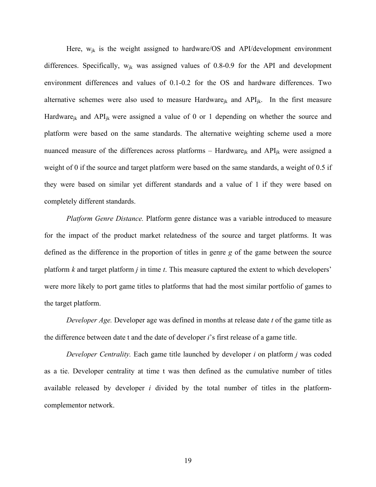Here,  $w_{ik}$  is the weight assigned to hardware/OS and API/development environment differences. Specifically,  $w_{ik}$  was assigned values of 0.8-0.9 for the API and development environment differences and values of 0.1-0.2 for the OS and hardware differences. Two alternative schemes were also used to measure Hardware<sub>ik</sub> and  $API_{ik}$ . In the first measure Hardware<sub>ik</sub> and  $API_{ik}$  were assigned a value of 0 or 1 depending on whether the source and platform were based on the same standards. The alternative weighting scheme used a more nuanced measure of the differences across platforms – Hardware<sub>ik</sub> and  $API_{ik}$  were assigned a weight of 0 if the source and target platform were based on the same standards, a weight of 0.5 if they were based on similar yet different standards and a value of 1 if they were based on completely different standards.

*Platform Genre Distance.* Platform genre distance was a variable introduced to measure for the impact of the product market relatedness of the source and target platforms. It was defined as the difference in the proportion of titles in genre *g* of the game between the source platform *k* and target platform *j* in time *t*. This measure captured the extent to which developers' were more likely to port game titles to platforms that had the most similar portfolio of games to the target platform.

*Developer Age.* Developer age was defined in months at release date *t* of the game title as the difference between date t and the date of developer *i*'s first release of a game title.

*Developer Centrality.* Each game title launched by developer *i* on platform *j* was coded as a tie. Developer centrality at time t was then defined as the cumulative number of titles available released by developer *i* divided by the total number of titles in the platformcomplementor network.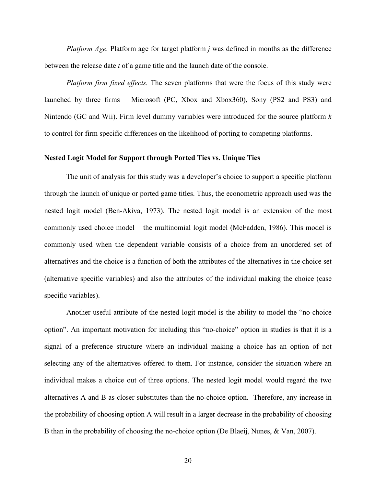*Platform Age.* Platform age for target platform *j* was defined in months as the difference between the release date *t* of a game title and the launch date of the console.

*Platform firm fixed effects.* The seven platforms that were the focus of this study were launched by three firms – Microsoft (PC, Xbox and Xbox360), Sony (PS2 and PS3) and Nintendo (GC and Wii). Firm level dummy variables were introduced for the source platform *k*  to control for firm specific differences on the likelihood of porting to competing platforms.

# **Nested Logit Model for Support through Ported Ties vs. Unique Ties**

The unit of analysis for this study was a developer's choice to support a specific platform through the launch of unique or ported game titles. Thus, the econometric approach used was the nested logit model (Ben-Akiva, 1973). The nested logit model is an extension of the most commonly used choice model – the multinomial logit model (McFadden, 1986). This model is commonly used when the dependent variable consists of a choice from an unordered set of alternatives and the choice is a function of both the attributes of the alternatives in the choice set (alternative specific variables) and also the attributes of the individual making the choice (case specific variables).

Another useful attribute of the nested logit model is the ability to model the "no-choice option". An important motivation for including this "no-choice" option in studies is that it is a signal of a preference structure where an individual making a choice has an option of not selecting any of the alternatives offered to them. For instance, consider the situation where an individual makes a choice out of three options. The nested logit model would regard the two alternatives A and B as closer substitutes than the no-choice option. Therefore, any increase in the probability of choosing option A will result in a larger decrease in the probability of choosing B than in the probability of choosing the no-choice option (De Blaeij, Nunes, & Van, 2007).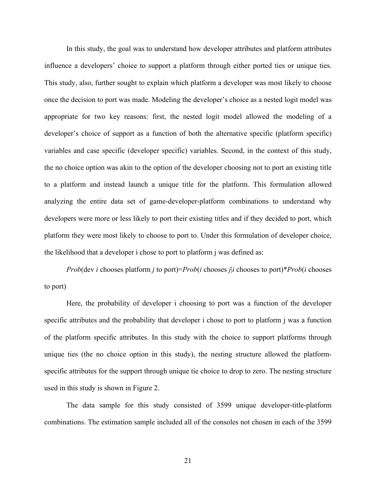In this study, the goal was to understand how developer attributes and platform attributes influence a developers' choice to support a platform through either ported ties or unique ties. This study, also, further sought to explain which platform a developer was most likely to choose once the decision to port was made. Modeling the developer's choice as a nested logit model was appropriate for two key reasons: first, the nested logit model allowed the modeling of a developer's choice of support as a function of both the alternative specific (platform specific) variables and case specific (developer specific) variables. Second, in the context of this study, the no choice option was akin to the option of the developer choosing not to port an existing title to a platform and instead launch a unique title for the platform. This formulation allowed analyzing the entire data set of game-developer-platform combinations to understand why developers were more or less likely to port their existing titles and if they decided to port, which platform they were most likely to choose to port to. Under this formulation of developer choice, the likelihood that a developer i chose to port to platform j was defined as:

*Prob*(dev *i* chooses platform *j* to port)=*Prob*(*i* chooses *j*|*i* chooses to port)\**Prob*(*i* chooses to port)

Here, the probability of developer i choosing to port was a function of the developer specific attributes and the probability that developer i chose to port to platform j was a function of the platform specific attributes. In this study with the choice to support platforms through unique ties (the no choice option in this study), the nesting structure allowed the platformspecific attributes for the support through unique tie choice to drop to zero. The nesting structure used in this study is shown in Figure 2.

The data sample for this study consisted of 3599 unique developer-title-platform combinations. The estimation sample included all of the consoles not chosen in each of the 3599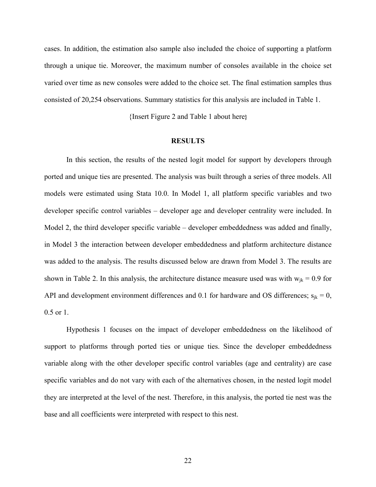cases. In addition, the estimation also sample also included the choice of supporting a platform through a unique tie. Moreover, the maximum number of consoles available in the choice set varied over time as new consoles were added to the choice set. The final estimation samples thus consisted of 20,254 observations. Summary statistics for this analysis are included in Table 1.

{Insert Figure 2 and Table 1 about here**}**

#### **RESULTS**

In this section, the results of the nested logit model for support by developers through ported and unique ties are presented. The analysis was built through a series of three models. All models were estimated using Stata 10.0. In Model 1, all platform specific variables and two developer specific control variables – developer age and developer centrality were included. In Model 2, the third developer specific variable – developer embeddedness was added and finally, in Model 3 the interaction between developer embeddedness and platform architecture distance was added to the analysis. The results discussed below are drawn from Model 3. The results are shown in Table 2. In this analysis, the architecture distance measure used was with  $w_{ik} = 0.9$  for API and development environment differences and 0.1 for hardware and OS differences;  $s_{ik} = 0$ , 0.5 or 1.

Hypothesis 1 focuses on the impact of developer embeddedness on the likelihood of support to platforms through ported ties or unique ties. Since the developer embeddedness variable along with the other developer specific control variables (age and centrality) are case specific variables and do not vary with each of the alternatives chosen, in the nested logit model they are interpreted at the level of the nest. Therefore, in this analysis, the ported tie nest was the base and all coefficients were interpreted with respect to this nest.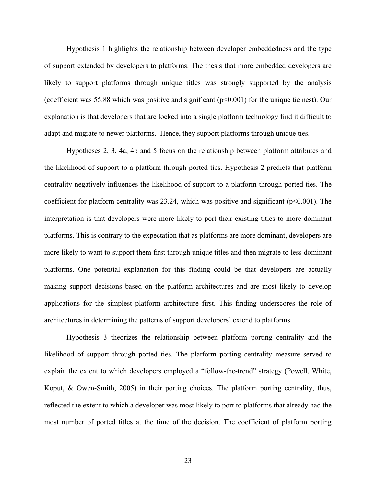Hypothesis 1 highlights the relationship between developer embeddedness and the type of support extended by developers to platforms. The thesis that more embedded developers are likely to support platforms through unique titles was strongly supported by the analysis (coefficient was 55.88 which was positive and significant  $(p<0.001)$  for the unique tie nest). Our explanation is that developers that are locked into a single platform technology find it difficult to adapt and migrate to newer platforms. Hence, they support platforms through unique ties.

Hypotheses 2, 3, 4a, 4b and 5 focus on the relationship between platform attributes and the likelihood of support to a platform through ported ties. Hypothesis 2 predicts that platform centrality negatively influences the likelihood of support to a platform through ported ties. The coefficient for platform centrality was  $23.24$ , which was positive and significant ( $p<0.001$ ). The interpretation is that developers were more likely to port their existing titles to more dominant platforms. This is contrary to the expectation that as platforms are more dominant, developers are more likely to want to support them first through unique titles and then migrate to less dominant platforms. One potential explanation for this finding could be that developers are actually making support decisions based on the platform architectures and are most likely to develop applications for the simplest platform architecture first. This finding underscores the role of architectures in determining the patterns of support developers' extend to platforms.

Hypothesis 3 theorizes the relationship between platform porting centrality and the likelihood of support through ported ties. The platform porting centrality measure served to explain the extent to which developers employed a "follow-the-trend" strategy (Powell, White, Koput, & Owen-Smith, 2005) in their porting choices. The platform porting centrality, thus, reflected the extent to which a developer was most likely to port to platforms that already had the most number of ported titles at the time of the decision. The coefficient of platform porting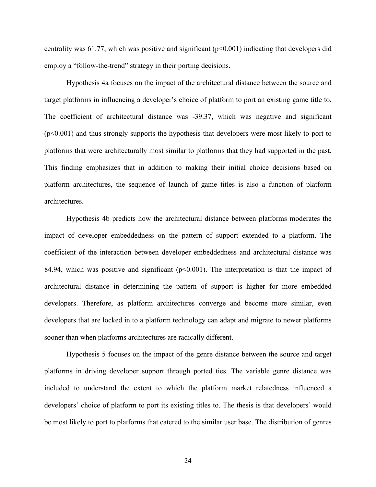centrality was 61.77, which was positive and significant ( $p<0.001$ ) indicating that developers did employ a "follow-the-trend" strategy in their porting decisions.

Hypothesis 4a focuses on the impact of the architectural distance between the source and target platforms in influencing a developer's choice of platform to port an existing game title to. The coefficient of architectural distance was -39.37, which was negative and significant (p<0.001) and thus strongly supports the hypothesis that developers were most likely to port to platforms that were architecturally most similar to platforms that they had supported in the past. This finding emphasizes that in addition to making their initial choice decisions based on platform architectures, the sequence of launch of game titles is also a function of platform architectures.

Hypothesis 4b predicts how the architectural distance between platforms moderates the impact of developer embeddedness on the pattern of support extended to a platform. The coefficient of the interaction between developer embeddedness and architectural distance was 84.94, which was positive and significant  $(p<0.001)$ . The interpretation is that the impact of architectural distance in determining the pattern of support is higher for more embedded developers. Therefore, as platform architectures converge and become more similar, even developers that are locked in to a platform technology can adapt and migrate to newer platforms sooner than when platforms architectures are radically different.

Hypothesis 5 focuses on the impact of the genre distance between the source and target platforms in driving developer support through ported ties. The variable genre distance was included to understand the extent to which the platform market relatedness influenced a developers' choice of platform to port its existing titles to. The thesis is that developers' would be most likely to port to platforms that catered to the similar user base. The distribution of genres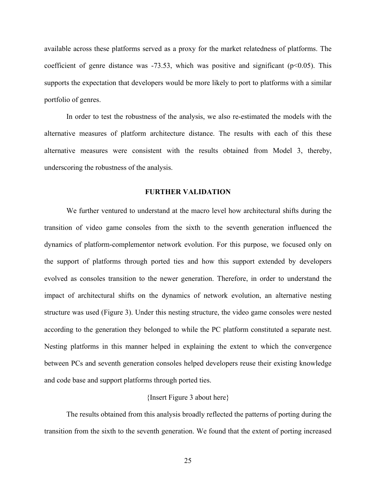available across these platforms served as a proxy for the market relatedness of platforms. The coefficient of genre distance was  $-73.53$ , which was positive and significant ( $p<0.05$ ). This supports the expectation that developers would be more likely to port to platforms with a similar portfolio of genres.

In order to test the robustness of the analysis, we also re-estimated the models with the alternative measures of platform architecture distance. The results with each of this these alternative measures were consistent with the results obtained from Model 3, thereby, underscoring the robustness of the analysis.

#### **FURTHER VALIDATION**

We further ventured to understand at the macro level how architectural shifts during the transition of video game consoles from the sixth to the seventh generation influenced the dynamics of platform-complementor network evolution. For this purpose, we focused only on the support of platforms through ported ties and how this support extended by developers evolved as consoles transition to the newer generation. Therefore, in order to understand the impact of architectural shifts on the dynamics of network evolution, an alternative nesting structure was used (Figure 3). Under this nesting structure, the video game consoles were nested according to the generation they belonged to while the PC platform constituted a separate nest. Nesting platforms in this manner helped in explaining the extent to which the convergence between PCs and seventh generation consoles helped developers reuse their existing knowledge and code base and support platforms through ported ties.

# {Insert Figure 3 about here}

The results obtained from this analysis broadly reflected the patterns of porting during the transition from the sixth to the seventh generation. We found that the extent of porting increased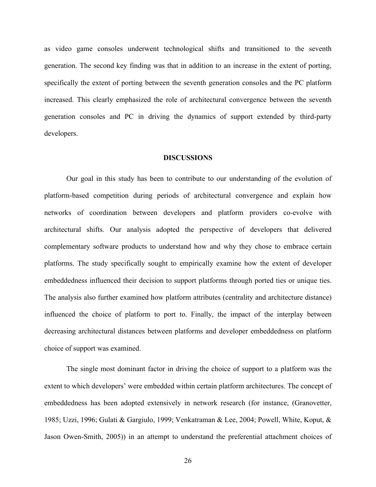as video game consoles underwent technological shifts and transitioned to the seventh generation. The second key finding was that in addition to an increase in the extent of porting, specifically the extent of porting between the seventh generation consoles and the PC platform increased. This clearly emphasized the role of architectural convergence between the seventh generation consoles and PC in driving the dynamics of support extended by third-party developers.

#### **DISCUSSIONS**

Our goal in this study has been to contribute to our understanding of the evolution of platform-based competition during periods of architectural convergence and explain how networks of coordination between developers and platform providers co-evolve with architectural shifts. Our analysis adopted the perspective of developers that delivered complementary software products to understand how and why they chose to embrace certain platforms. The study specifically sought to empirically examine how the extent of developer embeddedness influenced their decision to support platforms through ported ties or unique ties. The analysis also further examined how platform attributes (centrality and architecture distance) influenced the choice of platform to port to. Finally, the impact of the interplay between decreasing architectural distances between platforms and developer embeddedness on platform choice of support was examined.

The single most dominant factor in driving the choice of support to a platform was the extent to which developers' were embedded within certain platform architectures. The concept of embeddedness has been adopted extensively in network research (for instance, (Granovetter, 1985; Uzzi, 1996; Gulati & Gargiulo, 1999; Venkatraman & Lee, 2004; Powell, White, Koput, & Jason Owen-Smith, 2005)) in an attempt to understand the preferential attachment choices of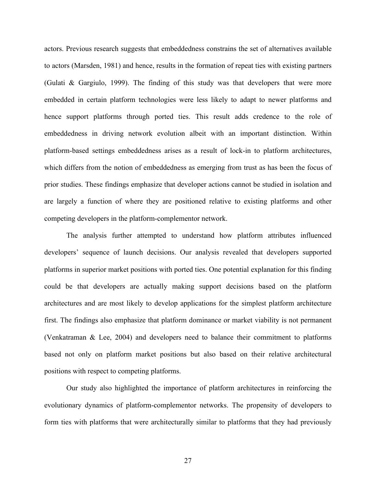actors. Previous research suggests that embeddedness constrains the set of alternatives available to actors (Marsden, 1981) and hence, results in the formation of repeat ties with existing partners (Gulati & Gargiulo, 1999). The finding of this study was that developers that were more embedded in certain platform technologies were less likely to adapt to newer platforms and hence support platforms through ported ties. This result adds credence to the role of embeddedness in driving network evolution albeit with an important distinction. Within platform-based settings embeddedness arises as a result of lock-in to platform architectures, which differs from the notion of embeddedness as emerging from trust as has been the focus of prior studies. These findings emphasize that developer actions cannot be studied in isolation and are largely a function of where they are positioned relative to existing platforms and other competing developers in the platform-complementor network.

The analysis further attempted to understand how platform attributes influenced developers' sequence of launch decisions. Our analysis revealed that developers supported platforms in superior market positions with ported ties. One potential explanation for this finding could be that developers are actually making support decisions based on the platform architectures and are most likely to develop applications for the simplest platform architecture first. The findings also emphasize that platform dominance or market viability is not permanent (Venkatraman & Lee, 2004) and developers need to balance their commitment to platforms based not only on platform market positions but also based on their relative architectural positions with respect to competing platforms.

Our study also highlighted the importance of platform architectures in reinforcing the evolutionary dynamics of platform-complementor networks. The propensity of developers to form ties with platforms that were architecturally similar to platforms that they had previously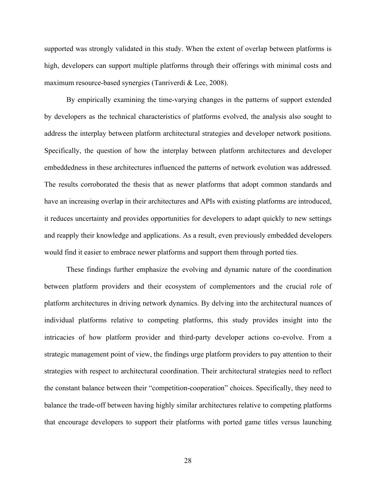supported was strongly validated in this study. When the extent of overlap between platforms is high, developers can support multiple platforms through their offerings with minimal costs and maximum resource-based synergies (Tanriverdi & Lee, 2008).

By empirically examining the time-varying changes in the patterns of support extended by developers as the technical characteristics of platforms evolved, the analysis also sought to address the interplay between platform architectural strategies and developer network positions. Specifically, the question of how the interplay between platform architectures and developer embeddedness in these architectures influenced the patterns of network evolution was addressed. The results corroborated the thesis that as newer platforms that adopt common standards and have an increasing overlap in their architectures and APIs with existing platforms are introduced, it reduces uncertainty and provides opportunities for developers to adapt quickly to new settings and reapply their knowledge and applications. As a result, even previously embedded developers would find it easier to embrace newer platforms and support them through ported ties.

These findings further emphasize the evolving and dynamic nature of the coordination between platform providers and their ecosystem of complementors and the crucial role of platform architectures in driving network dynamics. By delving into the architectural nuances of individual platforms relative to competing platforms, this study provides insight into the intricacies of how platform provider and third-party developer actions co-evolve. From a strategic management point of view, the findings urge platform providers to pay attention to their strategies with respect to architectural coordination. Their architectural strategies need to reflect the constant balance between their "competition-cooperation" choices. Specifically, they need to balance the trade-off between having highly similar architectures relative to competing platforms that encourage developers to support their platforms with ported game titles versus launching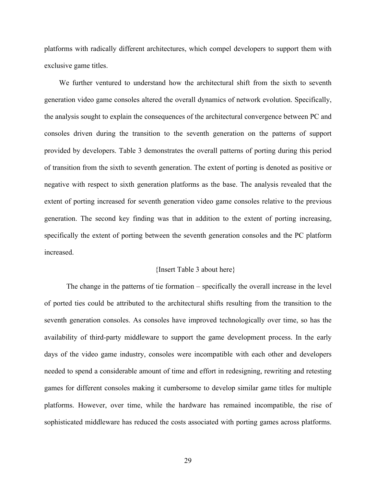platforms with radically different architectures, which compel developers to support them with exclusive game titles.

We further ventured to understand how the architectural shift from the sixth to seventh generation video game consoles altered the overall dynamics of network evolution. Specifically, the analysis sought to explain the consequences of the architectural convergence between PC and consoles driven during the transition to the seventh generation on the patterns of support provided by developers. Table 3 demonstrates the overall patterns of porting during this period of transition from the sixth to seventh generation. The extent of porting is denoted as positive or negative with respect to sixth generation platforms as the base. The analysis revealed that the extent of porting increased for seventh generation video game consoles relative to the previous generation. The second key finding was that in addition to the extent of porting increasing, specifically the extent of porting between the seventh generation consoles and the PC platform increased.

#### {Insert Table 3 about here}

The change in the patterns of tie formation – specifically the overall increase in the level of ported ties could be attributed to the architectural shifts resulting from the transition to the seventh generation consoles. As consoles have improved technologically over time, so has the availability of third-party middleware to support the game development process. In the early days of the video game industry, consoles were incompatible with each other and developers needed to spend a considerable amount of time and effort in redesigning, rewriting and retesting games for different consoles making it cumbersome to develop similar game titles for multiple platforms. However, over time, while the hardware has remained incompatible, the rise of sophisticated middleware has reduced the costs associated with porting games across platforms.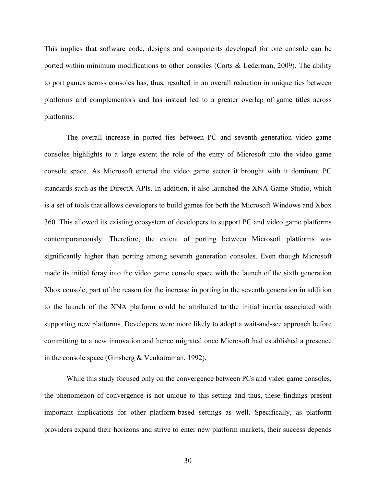This implies that software code, designs and components developed for one console can be ported within minimum modifications to other consoles (Corts  $\&$  Lederman, 2009). The ability to port games across consoles has, thus, resulted in an overall reduction in unique ties between platforms and complementors and has instead led to a greater overlap of game titles across platforms.

The overall increase in ported ties between PC and seventh generation video game consoles highlights to a large extent the role of the entry of Microsoft into the video game console space. As Microsoft entered the video game sector it brought with it dominant PC standards such as the DirectX APIs. In addition, it also launched the XNA Game Studio, which is a set of tools that allows developers to build games for both the Microsoft Windows and Xbox 360. This allowed its existing ecosystem of developers to support PC and video game platforms contemporaneously. Therefore, the extent of porting between Microsoft platforms was significantly higher than porting among seventh generation consoles. Even though Microsoft made its initial foray into the video game console space with the launch of the sixth generation Xbox console, part of the reason for the increase in porting in the seventh generation in addition to the launch of the XNA platform could be attributed to the initial inertia associated with supporting new platforms. Developers were more likely to adopt a wait-and-see approach before committing to a new innovation and hence migrated once Microsoft had established a presence in the console space (Ginsberg & Venkatraman, 1992).

While this study focused only on the convergence between PCs and video game consoles, the phenomenon of convergence is not unique to this setting and thus, these findings present important implications for other platform-based settings as well. Specifically, as platform providers expand their horizons and strive to enter new platform markets, their success depends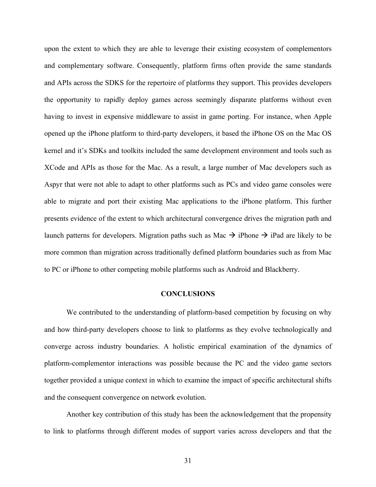upon the extent to which they are able to leverage their existing ecosystem of complementors and complementary software. Consequently, platform firms often provide the same standards and APIs across the SDKS for the repertoire of platforms they support. This provides developers the opportunity to rapidly deploy games across seemingly disparate platforms without even having to invest in expensive middleware to assist in game porting. For instance, when Apple opened up the iPhone platform to third-party developers, it based the iPhone OS on the Mac OS kernel and it's SDKs and toolkits included the same development environment and tools such as XCode and APIs as those for the Mac. As a result, a large number of Mac developers such as Aspyr that were not able to adapt to other platforms such as PCs and video game consoles were able to migrate and port their existing Mac applications to the iPhone platform. This further presents evidence of the extent to which architectural convergence drives the migration path and launch patterns for developers. Migration paths such as Mac  $\rightarrow$  iPhone  $\rightarrow$  iPad are likely to be more common than migration across traditionally defined platform boundaries such as from Mac to PC or iPhone to other competing mobile platforms such as Android and Blackberry.

#### **CONCLUSIONS**

We contributed to the understanding of platform-based competition by focusing on why and how third-party developers choose to link to platforms as they evolve technologically and converge across industry boundaries. A holistic empirical examination of the dynamics of platform-complementor interactions was possible because the PC and the video game sectors together provided a unique context in which to examine the impact of specific architectural shifts and the consequent convergence on network evolution.

Another key contribution of this study has been the acknowledgement that the propensity to link to platforms through different modes of support varies across developers and that the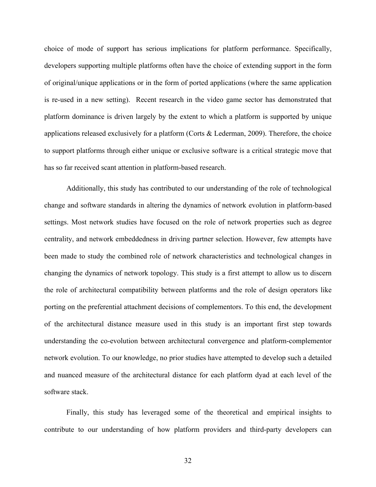choice of mode of support has serious implications for platform performance. Specifically, developers supporting multiple platforms often have the choice of extending support in the form of original/unique applications or in the form of ported applications (where the same application is re-used in a new setting). Recent research in the video game sector has demonstrated that platform dominance is driven largely by the extent to which a platform is supported by unique applications released exclusively for a platform (Corts & Lederman, 2009). Therefore, the choice to support platforms through either unique or exclusive software is a critical strategic move that has so far received scant attention in platform-based research.

Additionally, this study has contributed to our understanding of the role of technological change and software standards in altering the dynamics of network evolution in platform-based settings. Most network studies have focused on the role of network properties such as degree centrality, and network embeddedness in driving partner selection. However, few attempts have been made to study the combined role of network characteristics and technological changes in changing the dynamics of network topology. This study is a first attempt to allow us to discern the role of architectural compatibility between platforms and the role of design operators like porting on the preferential attachment decisions of complementors. To this end, the development of the architectural distance measure used in this study is an important first step towards understanding the co-evolution between architectural convergence and platform-complementor network evolution. To our knowledge, no prior studies have attempted to develop such a detailed and nuanced measure of the architectural distance for each platform dyad at each level of the software stack.

Finally, this study has leveraged some of the theoretical and empirical insights to contribute to our understanding of how platform providers and third-party developers can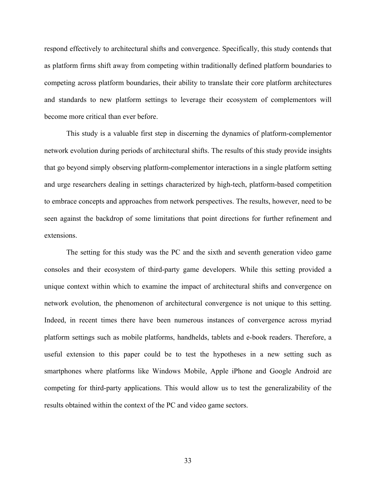respond effectively to architectural shifts and convergence. Specifically, this study contends that as platform firms shift away from competing within traditionally defined platform boundaries to competing across platform boundaries, their ability to translate their core platform architectures and standards to new platform settings to leverage their ecosystem of complementors will become more critical than ever before.

This study is a valuable first step in discerning the dynamics of platform-complementor network evolution during periods of architectural shifts. The results of this study provide insights that go beyond simply observing platform-complementor interactions in a single platform setting and urge researchers dealing in settings characterized by high-tech, platform-based competition to embrace concepts and approaches from network perspectives. The results, however, need to be seen against the backdrop of some limitations that point directions for further refinement and extensions.

The setting for this study was the PC and the sixth and seventh generation video game consoles and their ecosystem of third-party game developers. While this setting provided a unique context within which to examine the impact of architectural shifts and convergence on network evolution, the phenomenon of architectural convergence is not unique to this setting. Indeed, in recent times there have been numerous instances of convergence across myriad platform settings such as mobile platforms, handhelds, tablets and e-book readers. Therefore, a useful extension to this paper could be to test the hypotheses in a new setting such as smartphones where platforms like Windows Mobile, Apple iPhone and Google Android are competing for third-party applications. This would allow us to test the generalizability of the results obtained within the context of the PC and video game sectors.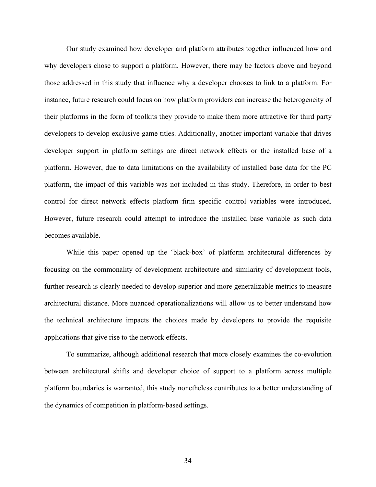Our study examined how developer and platform attributes together influenced how and why developers chose to support a platform. However, there may be factors above and beyond those addressed in this study that influence why a developer chooses to link to a platform. For instance, future research could focus on how platform providers can increase the heterogeneity of their platforms in the form of toolkits they provide to make them more attractive for third party developers to develop exclusive game titles. Additionally, another important variable that drives developer support in platform settings are direct network effects or the installed base of a platform. However, due to data limitations on the availability of installed base data for the PC platform, the impact of this variable was not included in this study. Therefore, in order to best control for direct network effects platform firm specific control variables were introduced. However, future research could attempt to introduce the installed base variable as such data becomes available.

While this paper opened up the 'black-box' of platform architectural differences by focusing on the commonality of development architecture and similarity of development tools, further research is clearly needed to develop superior and more generalizable metrics to measure architectural distance. More nuanced operationalizations will allow us to better understand how the technical architecture impacts the choices made by developers to provide the requisite applications that give rise to the network effects.

To summarize, although additional research that more closely examines the co-evolution between architectural shifts and developer choice of support to a platform across multiple platform boundaries is warranted, this study nonetheless contributes to a better understanding of the dynamics of competition in platform-based settings.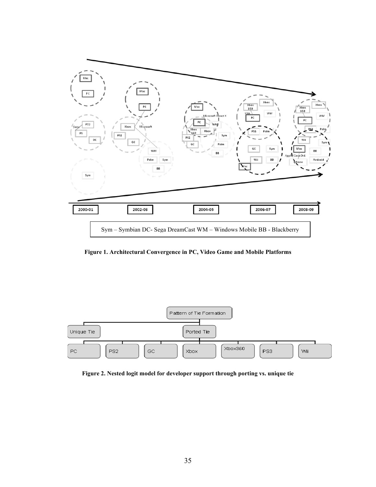

**Figure 1. Architectural Convergence in PC, Video Game and Mobile Platforms**



**Figure 2. Nested logit model for developer support through porting vs. unique tie**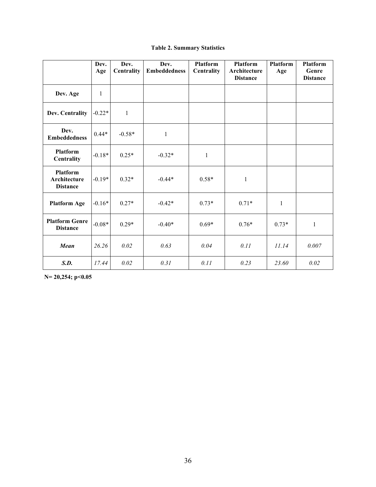# **Table 2. Summary Statistics**

|                                                    | Dev.<br>Age  | Dev.<br><b>Centrality</b> | Dev.<br><b>Embeddedness</b> | <b>Platform</b><br>Centrality | Platform<br>Architecture<br><b>Distance</b> | Platform<br>Age | <b>Platform</b><br>Genre<br><b>Distance</b> |
|----------------------------------------------------|--------------|---------------------------|-----------------------------|-------------------------------|---------------------------------------------|-----------------|---------------------------------------------|
| Dev. Age                                           | $\mathbf{1}$ |                           |                             |                               |                                             |                 |                                             |
| Dev. Centrality                                    | $-0.22*$     | $\mathbf{1}$              |                             |                               |                                             |                 |                                             |
| Dev.<br><b>Embeddedness</b>                        | $0.44*$      | $-0.58*$                  | $\mathbf{1}$                |                               |                                             |                 |                                             |
| <b>Platform</b><br><b>Centrality</b>               | $-0.18*$     | $0.25*$                   | $-0.32*$                    | $\mathbf{1}$                  |                                             |                 |                                             |
| <b>Platform</b><br>Architecture<br><b>Distance</b> | $-0.19*$     | $0.32*$                   | $-0.44*$                    | $0.58*$                       | $\mathbf{1}$                                |                 |                                             |
| <b>Platform Age</b>                                | $-0.16*$     | $0.27*$                   | $-0.42*$                    | $0.73*$                       | $0.71*$                                     | $\mathbf{1}$    |                                             |
| <b>Platform Genre</b><br><b>Distance</b>           | $-0.08*$     | $0.29*$                   | $-0.40*$                    | $0.69*$                       | $0.76*$                                     | $0.73*$         | 1                                           |
| Mean                                               | 26.26        | 0.02                      | 0.63                        | 0.04                          | 0.11                                        | 11.14           | 0.007                                       |
| S.D.                                               | 17.44        | 0.02                      | 0.31                        | 0.11                          | 0.23                                        | 23.60           | 0.02                                        |

**N= 20,254; p<0.05**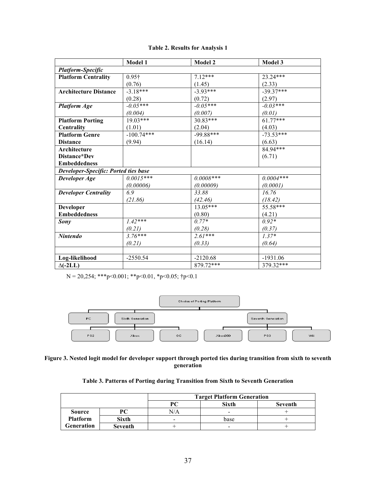## **Table 2. Results for Analysis 1**

|                                             | Model 1       | <b>Model 2</b> | Model 3     |  |  |  |
|---------------------------------------------|---------------|----------------|-------------|--|--|--|
| <b>Platform-Specific</b>                    |               |                |             |  |  |  |
| <b>Platform Centrality</b>                  | $0.95\dagger$ | $7.12***$      | $23.24***$  |  |  |  |
|                                             | (0.76)        | (1.45)         | (2.33)      |  |  |  |
| <b>Architecture Distance</b>                | $-3.18***$    | $-3.93***$     | $-39.37***$ |  |  |  |
|                                             | (0.28)        | (0.72)         | (2.97)      |  |  |  |
| <b>Platform Age</b>                         | $-0.05***$    | $-0.05***$     | $-0.03***$  |  |  |  |
|                                             | (0.004)       | (0.007)        | (0.01)      |  |  |  |
| <b>Platform Porting</b>                     | $19.03***$    | $30.83***$     | $61.77***$  |  |  |  |
| Centrality                                  | (1.01)        | (2.04)         | (4.03)      |  |  |  |
| <b>Platform Genre</b>                       | $-100.74***$  | $-99.88***$    | $-73.53***$ |  |  |  |
| <b>Distance</b>                             | (9.94)        | (16.14)        | (6.63)      |  |  |  |
| Architecture                                |               |                | $84.94***$  |  |  |  |
| Distance*Dev                                |               |                | (6.71)      |  |  |  |
| <b>Embeddedness</b>                         |               |                |             |  |  |  |
| <b>Developer-Specific: Ported ties base</b> |               |                |             |  |  |  |
| Developer Age                               | $0.0015***$   | $0.0008***$    | $0.0004***$ |  |  |  |
|                                             | (0.00006)     | (0.00009)      | (0.0001)    |  |  |  |
| <b>Developer Centrality</b>                 | 6.9           | 33.88          | 16.76       |  |  |  |
|                                             | (21.86)       | (42.46)        | (18.42)     |  |  |  |
| <b>Developer</b>                            |               | $13.05***$     | 55.58***    |  |  |  |
| <b>Embeddedness</b>                         |               | (0.80)         | (4.21)      |  |  |  |
| Sony                                        | $1.42***$     | $0.77*$        | $0.92*$     |  |  |  |
|                                             | (0.21)        | (0.28)         | (0.37)      |  |  |  |
| <b>Nintendo</b>                             | $3.76***$     | $2.61***$      | $1.37*$     |  |  |  |
|                                             | (0.21)        | (0.33)         | (0.64)      |  |  |  |
|                                             |               |                |             |  |  |  |
| Log-likelihood                              | $-2550.54$    | $-2120.68$     | $-1931.06$  |  |  |  |
| $\Delta$ (-2LL)                             |               | 879.72***      | 379.32***   |  |  |  |

N = 20,254; \*\*\*p<0.001; \*\*p<0.01, \*p<0.05; †p<0.1



#### **Figure 3. Nested logit model for developer support through ported ties during transition from sixth to seventh generation**

# **Table 3. Patterns of Porting during Transition from Sixth to Seventh Generation**

|                 |                | <b>Target Platform Generation</b> |       |         |  |
|-----------------|----------------|-----------------------------------|-------|---------|--|
|                 |                |                                   | Sixth | Seventh |  |
| <b>Source</b>   | PС             | N/A                               | -     |         |  |
| <b>Platform</b> | <b>Sixth</b>   | $\overline{\phantom{0}}$          | base  |         |  |
| Generation      | <b>Seventh</b> |                                   | -     |         |  |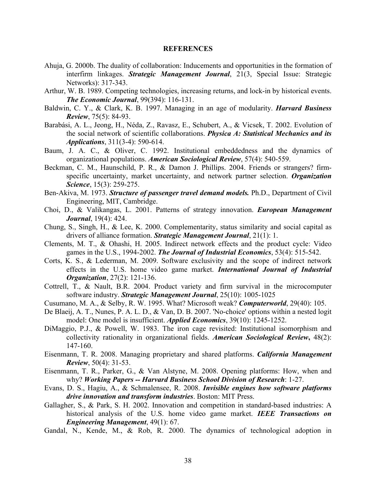#### **REFERENCES**

- Ahuja, G. 2000b. The duality of collaboration: Inducements and opportunities in the formation of interfirm linkages. *Strategic Management Journal*, 21(3, Special Issue: Strategic Networks): 317-343.
- Arthur, W. B. 1989. Competing technologies, increasing returns, and lock-in by historical events. *The Economic Journal*, 99(394): 116-131.
- Baldwin, C. Y., & Clark, K. B. 1997. Managing in an age of modularity. *Harvard Business Review*, 75(5): 84-93.
- Barabási, A. L., Jeong, H., Néda, Z., Ravasz, E., Schubert, A., & Vicsek, T. 2002. Evolution of the social network of scientific collaborations. *Physica A: Statistical Mechanics and its Applications*, 311(3-4): 590-614.
- Baum, J. A. C., & Oliver, C. 1992. Institutional embeddedness and the dynamics of organizational populations. *American Sociological Review*, 57(4): 540-559.
- Beckman, C. M., Haunschild, P. R., & Damon J. Phillips. 2004. Friends or strangers? firmspecific uncertainty, market uncertainty, and network partner selection. *Organization Science*, 15(3): 259-275.
- Ben-Akiva, M. 1973. *Structure of passenger travel demand models.* Ph.D., Department of Civil Engineering, MIT, Cambridge.
- Choi, D., & Valikangas, L. 2001. Patterns of strategy innovation. *European Management Journal*, 19(4): 424.
- Chung, S., Singh, H., & Lee, K. 2000. Complementarity, status similarity and social capital as drivers of alliance formation. *Strategic Management Journal*, 21(1): 1.
- Clements, M. T., & Ohashi, H. 2005. Indirect network effects and the product cycle: Video games in the U.S., 1994-2002. *The Journal of Industrial Economics*, 53(4): 515-542.
- Corts, K. S., & Lederman, M. 2009. Software exclusivity and the scope of indirect network effects in the U.S. home video game market. *International Journal of Industrial Organization*, 27(2): 121-136.
- Cottrell, T., & Nault, B.R. 2004. Product variety and firm survival in the microcomputer software industry. *Strategic Management Journal*, 25(10): 1005-1025
- Cusumano, M. A., & Selby, R. W. 1995. What? Microsoft weak? *Computerworld*, 29(40): 105.
- De Blaeij, A. T., Nunes, P. A. L. D., & Van, D. B. 2007. 'No-choice' options within a nested logit model: One model is insufficient. *Applied Economics*, 39(10): 1245-1252.
- DiMaggio, P.J., & Powell, W. 1983. The iron cage revisited: Institutional isomorphism and collectivity rationality in organizational fields. *American Sociological Review***,** 48(2): 147-160.
- Eisenmann, T. R. 2008. Managing proprietary and shared platforms. *California Management Review*, 50(4): 31-53.
- Eisenmann, T. R., Parker, G., & Van Alstyne, M. 2008. Opening platforms: How, when and why? *Working Papers -- Harvard Business School Division of Research*: 1-27.
- Evans, D. S., Hagiu, A., & Schmalensee, R. 2008. *Invisible engines how software platforms drive innovation and transform industries*. Boston: MIT Press.
- Gallagher, S., & Park, S. H. 2002. Innovation and competition in standard-based industries: A historical analysis of the U.S. home video game market. *IEEE Transactions on Engineering Management*, 49(1): 67.
- Gandal, N., Kende, M., & Rob, R. 2000. The dynamics of technological adoption in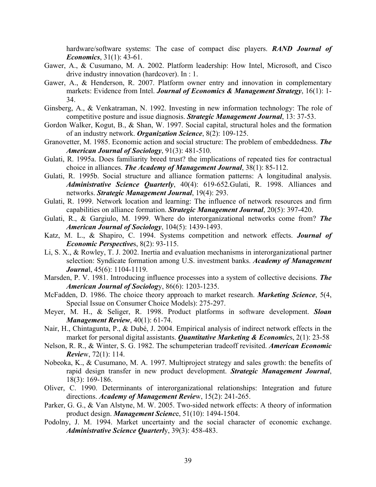hardware/software systems: The case of compact disc players. *RAND Journal of Economics*, 31(1): 43-61.

- Gawer, A., & Cusumano, M. A. 2002. Platform leadership: How Intel, Microsoft, and Cisco drive industry innovation (hardcover). In : 1.
- Gawer, A., & Henderson, R. 2007. Platform owner entry and innovation in complementary markets: Evidence from Intel. *Journal of Economics & Management Strategy*, 16(1): 1- 34.
- Ginsberg, A., & Venkatraman, N. 1992. Investing in new information technology: The role of competitive posture and issue diagnosis. *Strategic Management Journal*, 13: 37-53.
- Gordon Walker, Kogut, B., & Shan, W. 1997. Social capital, structural holes and the formation of an industry network. *Organization Science*, 8(2): 109-125.
- Granovetter, M. 1985. Economic action and social structure: The problem of embeddedness. *The American Journal of Sociology*, 91(3): 481-510.
- Gulati, R. 1995a. Does familiarity breed trust? the implications of repeated ties for contractual choice in alliances. *The Academy of Management Journal*, 38(1): 85-112.
- Gulati, R. 1995b. Social structure and alliance formation patterns: A longitudinal analysis. *Administrative Science Quarterly*, 40(4): 619-652.Gulati, R. 1998. Alliances and networks. *Strategic Management Journal*, 19(4): 293.
- Gulati, R. 1999. Network location and learning: The influence of network resources and firm capabilities on alliance formation. *Strategic Management Journal*, 20(5): 397-420.
- Gulati, R., & Gargiulo, M. 1999. Where do interorganizational networks come from? *The American Journal of Sociology*, 104(5): 1439-1493.
- Katz, M. L., & Shapiro, C. 1994. Systems competition and network effects. *Journal of Economic Perspective*s, 8(2): 93-115.
- Li, S. X., & Rowley, T. J. 2002. Inertia and evaluation mechanisms in interorganizational partner selection: Syndicate formation among U.S. investment banks. *Academy of Management Journa*l, 45(6): 1104-1119.
- Marsden, P. V. 1981. Introducing influence processes into a system of collective decisions. *The American Journal of Sociolog*y, 86(6): 1203-1235.
- McFadden, D. 1986. The choice theory approach to market research. *Marketing Science*, 5(4, Special Issue on Consumer Choice Models): 275-297.
- Meyer, M. H., & Seliger, R. 1998. Product platforms in software development. *Sloan Management Review*, 40(1): 61-74.
- Nair, H., Chintagunta, P., & Dubé, J. 2004. Empirical analysis of indirect network effects in the market for personal digital assistants. *Quantitative Marketing & Economic*s, 2(1): 23-58
- Nelson, R. R., & Winter, S. G. 1982. The schumpeterian tradeoff revisited. *American Economic Revie*w, 72(1): 114.
- Nobeoka, K., & Cusumano, M. A. 1997. Multiproject strategy and sales growth: the benefits of rapid design transfer in new product development. *Strategic Management Journal*, 18(3): 169-186.
- Oliver, C. 1990. Determinants of interorganizational relationships: Integration and future directions. *Academy of Management Revie*w, 15(2): 241-265.
- Parker, G. G., & Van Alstyne, M. W. 2005. Two-sided network effects: A theory of information product design. *Management Scienc*e, 51(10): 1494-1504.
- Podolny, J. M. 1994. Market uncertainty and the social character of economic exchange. *Administrative Science Quarterl*y, 39(3): 458-483.